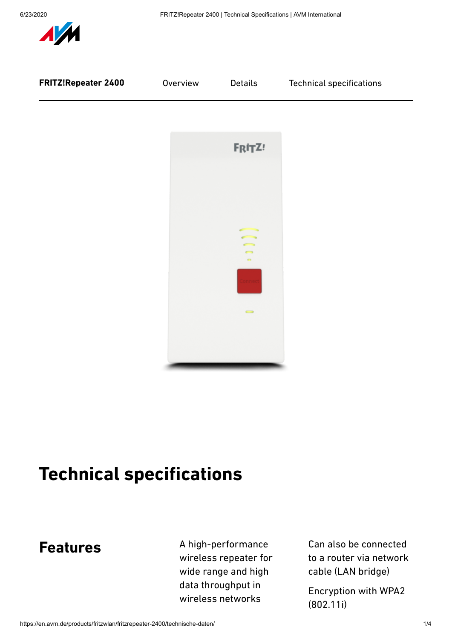

# **Technical specifications**

### **Features**

A high-performance wireless repeater for wide range and high data throughput in wireless networks

Can also be connected to a router via network cable (LAN bridge)

Encryption with WPA2 (802.11i)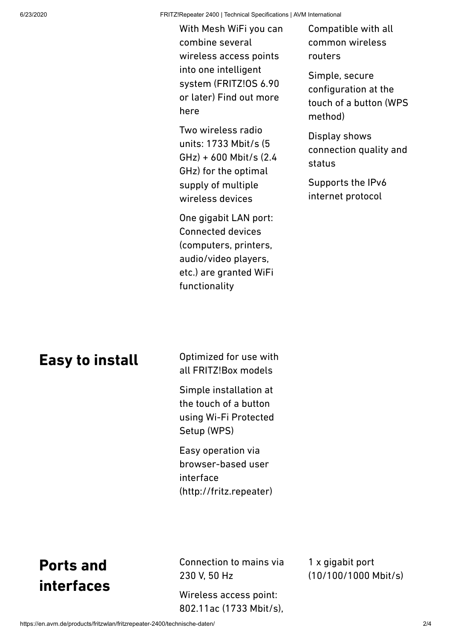6/23/2020 FRITZ!Repeater 2400 | Technical Specifications | AVM International

With Mesh WiFi you can combine several wireless access points into one intelligent system (FRITZ!OS 6.90 or later) Find out more [here](https://en.avm.de/mesh/)

Two wireless radio units: 1733 Mbit/s (5 GHz) + 600 Mbit/s (2.4 GHz) for the optimal supply of multiple wireless devices

One gigabit LAN port: Connected devices (computers, printers, audio/video players, etc.) are granted WiFi functionality

Compatible with all common wireless routers

Simple, secure configuration at the touch of a button (WPS method)

Display shows connection quality and status

Supports the IPv6 internet protocol

### **Easy to install**

Optimized for use with all FRITZ!Box models

Simple installation at the touch of a button using Wi-Fi Protected Setup (WPS)

Easy operation via browser-based user interface (http://fritz.repeater)

## **Ports and interfaces**

Connection to mains via 230 V, 50 Hz

Wireless access point: 802.11ac (1733 Mbit/s),

1 x gigabit port (10/100/1000 Mbit/s)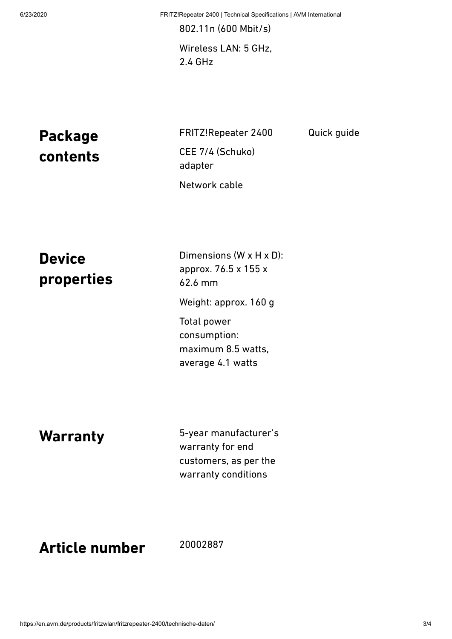6/23/2020 FRITZ!Repeater 2400 | Technical Specifications | AVM International

Quick guide

802.11n (600 Mbit/s) Wireless LAN: 5 GHz, 2.4 GHz

**Package contents**

FRITZ!Repeater 2400 CEE 7/4 (Schuko) adapter Network cable

**Device properties**

Dimensions (W x H x D): approx. 76.5 x 155 x 62.6 mm Weight: approx. 160 g Total power consumption: maximum 8.5 watts, average 4.1 watts

**Warranty**

5-year manufacturer's warranty for end customers, as per the warranty conditions

**Article number**

20002887